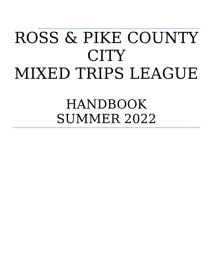# ROSS & PIKE COUNTY CITY MIXED TRIPS LEAGUE

HANDBOOK SUMMER 2022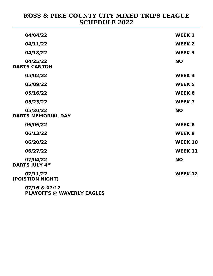#### **ROSS & PIKE COUNTY CITY MIXED TRIPS LEAGUE SCHEDULE 2022**

| 04/04/22                              | <b>WEEK 1</b>  |
|---------------------------------------|----------------|
| 04/11/22                              | <b>WEEK 2</b>  |
| 04/18/22                              | <b>WEEK 3</b>  |
| 04/25/22<br><b>DARTS CANTON</b>       | <b>NO</b>      |
| 05/02/22                              | <b>WEEK4</b>   |
| 05/09/22                              | <b>WEEK 5</b>  |
| 05/16/22                              | <b>WEEK 6</b>  |
| 05/23/22                              | <b>WEEK 7</b>  |
| 05/30/22<br><b>DARTS MEMORIAL DAY</b> | <b>NO</b>      |
| 06/06/22                              | <b>WEEK 8</b>  |
| 06/13/22                              | <b>WEEK 9</b>  |
| 06/20/22                              | <b>WEEK 10</b> |
| 06/27/22                              | <b>WEEK 11</b> |
| 07/04/22<br><b>DARTS JULY 4TH</b>     | <b>NO</b>      |
| 07/11/22<br>(POISTION NIGHT)          | <b>WEEK 12</b> |
| 07/16 & 07/17                         |                |
|                                       |                |

**PLAYOFFS @ WAVERLY EAGLES**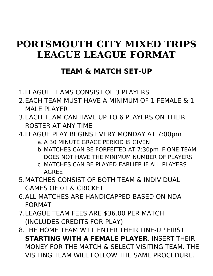### **PORTSMOUTH CITY MIXED TRIPS LEAGUE LEAGUE FORMAT**

#### **TEAM & MATCH SET-UP**

- 1.LEAGUE TEAMS CONSIST OF 3 PLAYERS
- 2.EACH TEAM MUST HAVE A MINIMUM OF 1 FEMALE & 1 MAI F PI AYFR
- 3.EACH TEAM CAN HAVE UP TO 6 PLAYERS ON THEIR ROSTER AT ANY TIME
- 4.LEAGUE PLAY BEGINS EVERY MONDAY AT 7:00pm a. A 30 MINUTE GRACE PERIOD IS GIVEN
	- b. MATCHES CAN BE FORFEITED AT 7:30pm IF ONE TEAM DOES NOT HAVE THE MINIMUM NUMBER OF PLAYERS
	- c. MATCHES CAN BE PLAYED EARLIER IF ALL PLAYERS AGREE
- 5.MATCHES CONSIST OF BOTH TEAM & INDIVIDUAL GAMES OF 01 & CRICKET
- 6.ALL MATCHES ARE HANDICAPPED BASED ON NDA FORMAT
- 7.LEAGUE TEAM FEES ARE \$36.00 PER MATCH (INCLUDES CREDITS FOR PLAY)
- 8.THE HOME TEAM WILL ENTER THEIR LINE-UP FIRST **STARTING WITH A FEMALE PLAYER**. INSERT THEIR MONEY FOR THE MATCH & SELECT VISITING TEAM. THE VISITING TEAM WILL FOLLOW THE SAME PROCEDURE.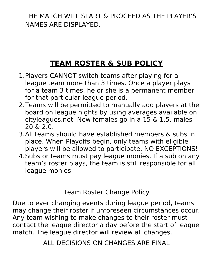THE MATCH WILL START & PROCEED AS THE PLAYER'S NAMES ARE DISPLAYED.

### **TEAM ROSTER & SUB POLICY**

- 1.Players CANNOT switch teams after playing for a league team more than 3 times. Once a player plays for a team 3 times, he or she is a permanent member for that particular league period.
- 2.Teams will be permitted to manually add players at the board on league nights by using averages available on cityleagues.net. New females go in a 15 & 1.5, males 20 & 2.0.
- 3.All teams should have established members & subs in place. When Playoffs begin, only teams with eligible players will be allowed to participate. NO EXCEPTIONS!
- 4.Subs or teams must pay league monies. If a sub on any team's roster plays, the team is still responsible for all league monies.

Team Roster Change Policy

Due to ever changing events during league period, teams may change their roster if unforeseen circumstances occur. Any team wishing to make changes to their roster must contact the league director a day before the start of league match. The league director will review all changes.

ALL DECISIONS ON CHANGES ARE FINAL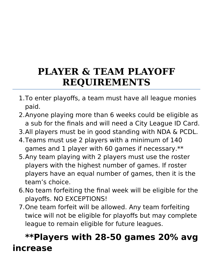### **PLAYER & TEAM PLAYOFF REQUIREMENTS**

- 1.To enter playoffs, a team must have all league monies paid.
- 2.Anyone playing more than 6 weeks could be eligible as a sub for the finals and will need a City League ID Card.
- 3.All players must be in good standing with NDA & PCDL.
- 4.Teams must use 2 players with a minimum of 140 games and 1 player with 60 games if necessary.\*\*
- 5.Any team playing with 2 players must use the roster players with the highest number of games. If roster players have an equal number of games, then it is the team's choice.
- 6.No team forfeiting the final week will be eligible for the playoffs. NO EXCEPTIONS!
- 7.One team forfeit will be allowed. Any team forfeiting twice will not be eligible for playoffs but may complete league to remain eligible for future leagues.

### **\*\*Players with 28-50 games 20% avg increase**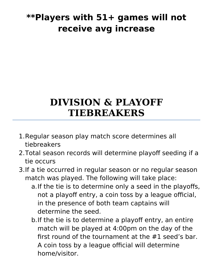### **\*\*Players with 51+ games will not receive avg increase**

### **DIVISION & PLAYOFF TIEBREAKERS**

- 1.Regular season play match score determines all tiebreakers
- 2.Total season records will determine playoff seeding if a tie occurs
- 3.If a tie occurred in regular season or no regular season match was played. The following will take place:
	- a.If the tie is to determine only a seed in the playoffs, not a playoff entry, a coin toss by a league official, in the presence of both team captains will determine the seed.
	- b.If the tie is to determine a playoff entry, an entire match will be played at 4:00pm on the day of the first round of the tournament at the #1 seed's bar. A coin toss by a league official will determine home/visitor.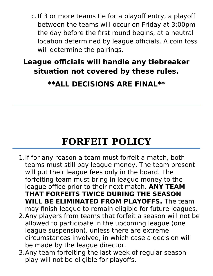c.If 3 or more teams tie for a playoff entry, a playoff between the teams will occur on Friday at 3:00pm the day before the first round begins, at a neutral location determined by league officials. A coin toss will determine the pairings.

### **League officials will handle any tiebreaker situation not covered by these rules.**

### **\*\*ALL DECISIONS ARE FINAL\*\***

### **FORFEIT POLICY**

- 1.If for any reason a team must forfeit a match, both teams must still pay league money. The team present will put their league fees only in the board. The forfeiting team must bring in league money to the league office prior to their next match. **ANY TEAM THAT FORFEITS TWICE DURING THE SEASON WILL BE ELIMINATED FROM PLAYOFFS.** The team may finish league to remain eligible for future leagues.
- 2.Any players from teams that forfeit a season will not be allowed to participate in the upcoming league (one league suspension), unless there are extreme circumstances involved, in which case a decision will be made by the league director.
- 3.Any team forfeiting the last week of regular season play will not be eligible for playoffs.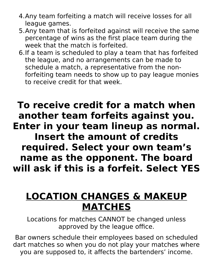- 4.Any team forfeiting a match will receive losses for all league games.
- 5.Any team that is forfeited against will receive the same percentage of wins as the first place team during the week that the match is forfeited.
- 6.If a team is scheduled to play a team that has forfeited the league, and no arrangements can be made to schedule a match, a representative from the nonforfeiting team needs to show up to pay league monies to receive credit for that week.

### **To receive credit for a match when another team forfeits against you. Enter in your team lineup as normal. Insert the amount of credits required. Select your own team's name as the opponent. The board**

**will ask if this is a forfeit. Select YES**

### **LOCATION CHANGES & MAKEUP MATCHES**

Locations for matches CANNOT be changed unless approved by the league office.

Bar owners schedule their employees based on scheduled dart matches so when you do not play your matches where you are supposed to, it affects the bartenders' income.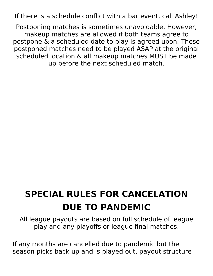If there is a schedule conflict with a bar event, call Ashley!

Postponing matches is sometimes unavoidable. However, makeup matches are allowed if both teams agree to postpone & a scheduled date to play is agreed upon. These postponed matches need to be played ASAP at the original scheduled location & all makeup matches MUST be made up before the next scheduled match.

# **SPECIAL RULES FOR CANCELATION DUE TO PANDEMIC**

All league payouts are based on full schedule of league play and any playoffs or league final matches.

If any months are cancelled due to pandemic but the season picks back up and is played out, payout structure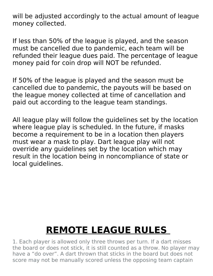will be adjusted accordingly to the actual amount of league money collected.

If less than 50% of the league is played, and the season must be cancelled due to pandemic, each team will be refunded their league dues paid. The percentage of league money paid for coin drop will NOT be refunded.

If 50% of the league is played and the season must be cancelled due to pandemic, the payouts will be based on the league money collected at time of cancellation and paid out according to the league team standings.

All league play will follow the guidelines set by the location where league play is scheduled. In the future, if masks become a requirement to be in a location then players must wear a mask to play. Dart league play will not override any guidelines set by the location which may result in the location being in noncompliance of state or local guidelines.

## **REMOTE LEAGUE RULES**

1. Each player is allowed only three throws per turn. If a dart misses the board or does not stick, it is still counted as a throw. No player may have a "do over". A dart thrown that sticks in the board but does not score may not be manually scored unless the opposing team captain